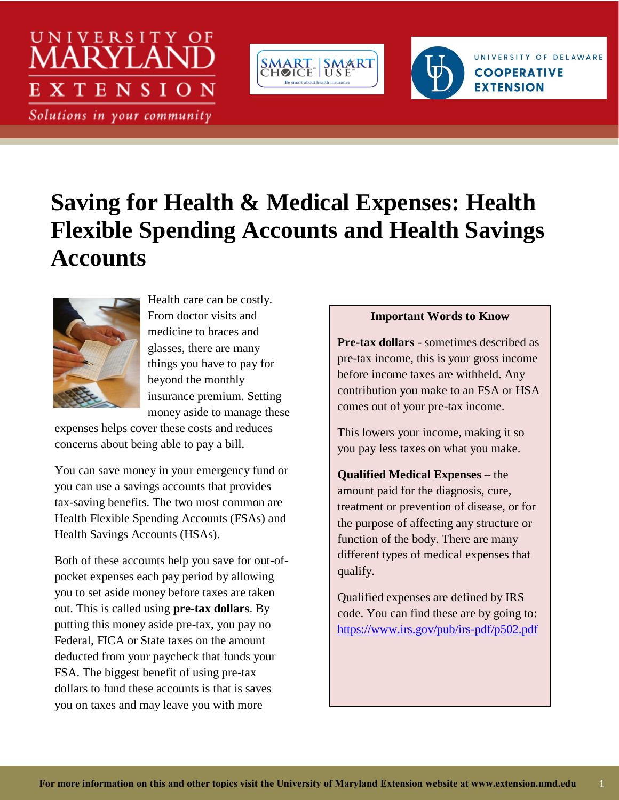# UNIVERSITY OF **XTENSION**

Solutions in your community



# **Saving for Health & Medical Expenses: Health Flexible Spending Accounts and Health Savings Accounts**



Health care can be costly. From doctor visits and medicine to braces and glasses, there are many things you have to pay for beyond the monthly insurance premium. Setting money aside to manage these

expenses helps cover these costs and reduces concerns about being able to pay a bill.

You can save money in your emergency fund or you can use a savings accounts that provides tax-saving benefits. The two most common are Health Flexible Spending Accounts (FSAs) and Health Savings Accounts (HSAs).

Both of these accounts help you save for out-ofpocket expenses each pay period by allowing you to set aside money before taxes are taken out. This is called using **pre-tax dollars**. By putting this money aside pre-tax, you pay no Federal, FICA or State taxes on the amount deducted from your paycheck that funds your FSA. The biggest benefit of using pre-tax dollars to fund these accounts is that is saves you on taxes and may leave you with more

#### **Important Words to Know**

UNIVERSITY OF DELAWARE

**COOPERATIVE** 

**EXTENSION** 

**Pre-tax dollars** - sometimes described as pre-tax income, this is your gross income before income taxes are withheld. Any contribution you make to an FSA or HSA comes out of your pre-tax income.

This lowers your income, making it so you pay less taxes on what you make.

**Qualified Medical Expenses** – the amount paid for the diagnosis, cure, treatment or prevention of disease, or for the purpose of affecting any structure or function of the body. There are many different types of medical expenses that qualify.

Qualified expenses are defined by IRS code. You can find these are by going to: <https://www.irs.gov/pub/irs-pdf/p502.pdf>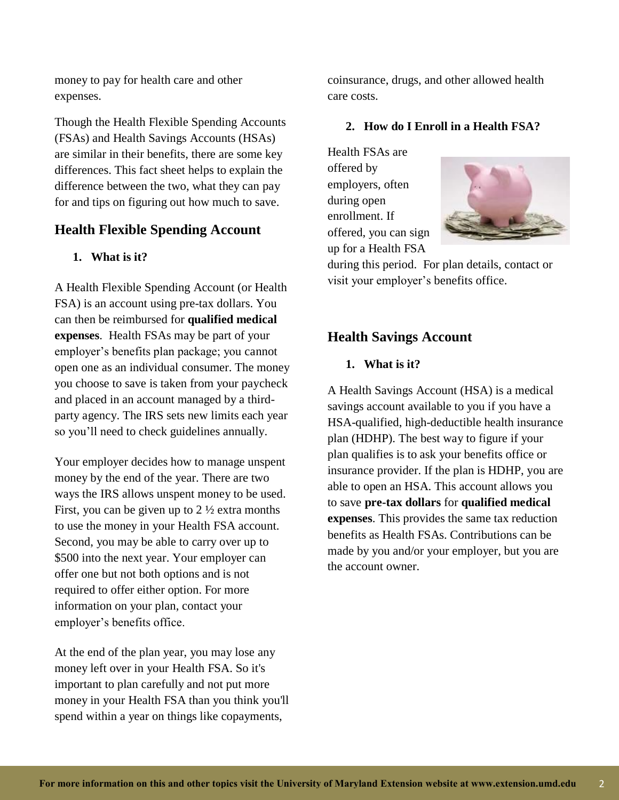money to pay for health care and other expenses.

Though the Health Flexible Spending Accounts (FSAs) and Health Savings Accounts (HSAs) are similar in their benefits, there are some key differences. This fact sheet helps to explain the difference between the two, what they can pay for and tips on figuring out how much to save.

# **Health Flexible Spending Account**

#### **1. What is it?**

A Health Flexible Spending Account (or Health FSA) is an account using pre-tax dollars. You can then be reimbursed for **qualified medical expenses**. Health FSAs may be part of your employer's benefits plan package; you cannot open one as an individual consumer. The money you choose to save is taken from your paycheck and placed in an account managed by a thirdparty agency. The IRS sets new limits each year so you'll need to check guidelines annually.

Your employer decides how to manage unspent money by the end of the year. There are two ways the IRS allows unspent money to be used. First, you can be given up to  $2\frac{1}{2}$  extra months to use the money in your Health FSA account. Second, you may be able to carry over up to \$500 into the next year. Your employer can offer one but not both options and is not required to offer either option. For more information on your plan, contact your employer's benefits office.

At the end of the plan year, you may lose any money left over in your Health FSA. So it's important to plan carefully and not put more money in your Health FSA than you think you'll spend within a year on things like copayments,

coinsurance, drugs, and other allowed health care costs.

#### **2. How do I Enroll in a Health FSA?**

Health FSAs are offered by employers, often during open enrollment. If offered, you can sign up for a Health FSA



during this period. For plan details, contact or visit your employer's benefits office.

# **Health Savings Account**

#### **1. What is it?**

A Health Savings Account (HSA) is a medical savings account available to you if you have a HSA-qualified, high-deductible health insurance plan (HDHP). The best way to figure if your plan qualifies is to ask your benefits office or insurance provider. If the plan is HDHP, you are able to open an HSA. This account allows you to save **pre-tax dollars** for **qualified medical expenses**. This provides the same tax reduction benefits as Health FSAs. Contributions can be made by you and/or your employer, but you are the account owner.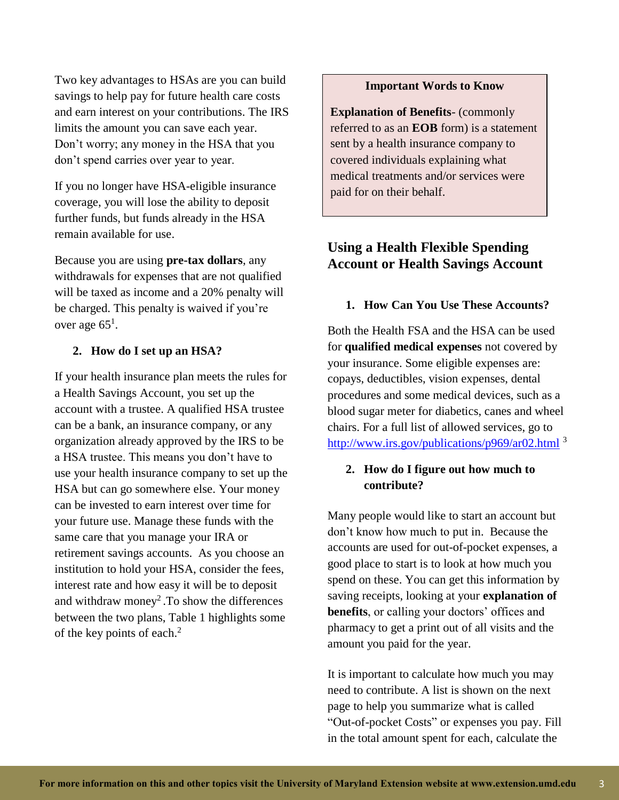Two key advantages to HSAs are you can build savings to help pay for future health care costs and earn interest on your contributions. The IRS limits the amount you can save each year. Don't worry; any money in the HSA that you don't spend carries over year to year.

If you no longer have HSA-eligible insurance coverage, you will lose the ability to deposit further funds, but funds already in the HSA remain available for use.

Because you are using **pre-tax dollars**, any withdrawals for expenses that are not qualified will be taxed as income and a 20% penalty will be charged. This penalty is waived if you're over age  $65^1$ .

#### **2. How do I set up an HSA?**

If your health insurance plan meets the rules for a Health Savings Account, you set up the account with a trustee. A qualified HSA trustee can be a bank, an insurance company, or any organization already approved by the IRS to be a HSA trustee. This means you don't have to use your health insurance company to set up the HSA but can go somewhere else. Your money can be invested to earn interest over time for your future use. Manage these funds with the same care that you manage your IRA or retirement savings accounts. As you choose an institution to hold your HSA, consider the fees, interest rate and how easy it will be to deposit and withdraw money<sup>2</sup>. To show the differences between the two plans, Table 1 highlights some of the key points of each. 2

#### **Important Words to Know**

**Explanation of Benefits**- (commonly referred to as an **EOB** form) is a statement sent by a health insurance company to covered individuals explaining what medical treatments and/or services were paid for on their behalf.

## **Using a Health Flexible Spending Account or Health Savings Account**

#### **1. How Can You Use These Accounts?**

Both the Health FSA and the HSA can be used for **qualified medical expenses** not covered by your insurance. Some eligible expenses are: copays, deductibles, vision expenses, dental procedures and some medical devices, such as a blood sugar meter for diabetics, canes and wheel chairs. For a full list of allowed services, go to <http://www.irs.gov/publications/p969/ar02.html> <sup>3</sup>

#### **2. How do I figure out how much to contribute?**

Many people would like to start an account but don't know how much to put in. Because the accounts are used for out-of-pocket expenses, a good place to start is to look at how much you spend on these. You can get this information by saving receipts, looking at your **explanation of benefits**, or calling your doctors' offices and pharmacy to get a print out of all visits and the amount you paid for the year.

It is important to calculate how much you may need to contribute. A list is shown on the next page to help you summarize what is called "Out-of-pocket Costs" or expenses you pay. Fill in the total amount spent for each, calculate the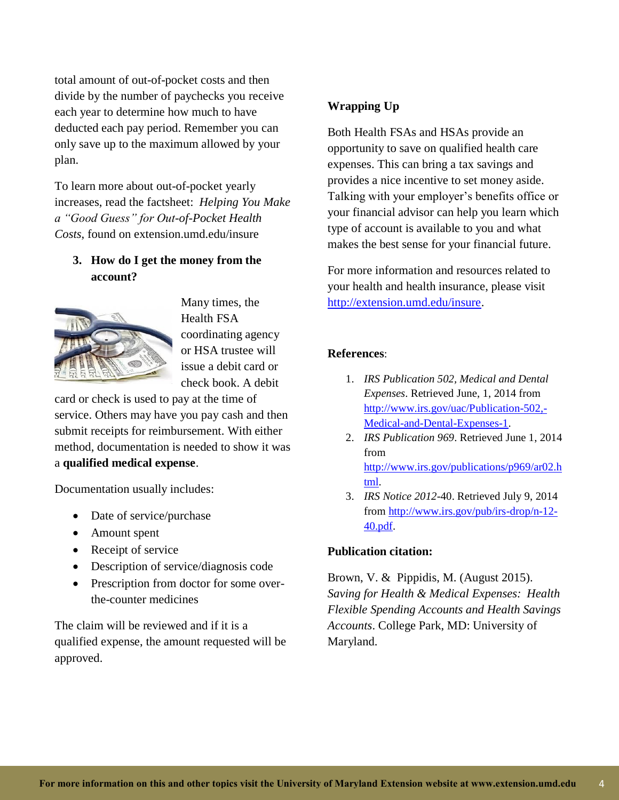total amount of out-of-pocket costs and then divide by the number of paychecks you receive each year to determine how much to have deducted each pay period. Remember you can only save up to the maximum allowed by your plan.

To learn more about out-of-pocket yearly increases, read the factsheet: *Helping You Make a "Good Guess" for Out-of-Pocket Health Costs*, found on extension.umd.edu/insure

#### **3. How do I get the money from the account?**



Many times, the Health FSA coordinating agency or HSA trustee will issue a debit card or check book. A debit

card or check is used to pay at the time of service. Others may have you pay cash and then submit receipts for reimbursement. With either method, documentation is needed to show it was a **qualified medical expense**.

Documentation usually includes:

- Date of service/purchase
- Amount spent
- Receipt of service
- Description of service/diagnosis code
- Prescription from doctor for some overthe-counter medicines

The claim will be reviewed and if it is a qualified expense, the amount requested will be approved.

### **Wrapping Up**

Both Health FSAs and HSAs provide an opportunity to save on qualified health care expenses. This can bring a tax savings and provides a nice incentive to set money aside. Talking with your employer's benefits office or your financial advisor can help you learn which type of account is available to you and what makes the best sense for your financial future.

For more information and resources related to your health and health insurance, please visit [http://extension.umd.edu/insure.](http://extension.umd.edu/insure)

#### **References**:

- 1. *IRS Publication 502, Medical and Dental Expenses*. Retrieved June, 1, 2014 from [http://www.irs.gov/uac/Publication-502,-](http://www.irs.gov/uac/Publication-502,-Medical-and-Dental-Expenses-1) [Medical-and-Dental-Expenses-1.](http://www.irs.gov/uac/Publication-502,-Medical-and-Dental-Expenses-1)
- 2. *IRS Publication 969*. Retrieved June 1, 2014 from [http://www.irs.gov/publications/p969/ar02.h](http://www.irs.gov/publications/p969/ar02.html) [tml.](http://www.irs.gov/publications/p969/ar02.html)
- 3. *IRS Notice 2012*-40. Retrieved July 9, 2014 from [http://www.irs.gov/pub/irs-drop/n-12-](http://www.irs.gov/pub/irs-drop/n-12-40.pdf) [40.pdf.](http://www.irs.gov/pub/irs-drop/n-12-40.pdf)

#### **Publication citation:**

Brown, V. & Pippidis, M. (August 2015). *Saving for Health & Medical Expenses: Health Flexible Spending Accounts and Health Savings Accounts*. College Park, MD: University of Maryland.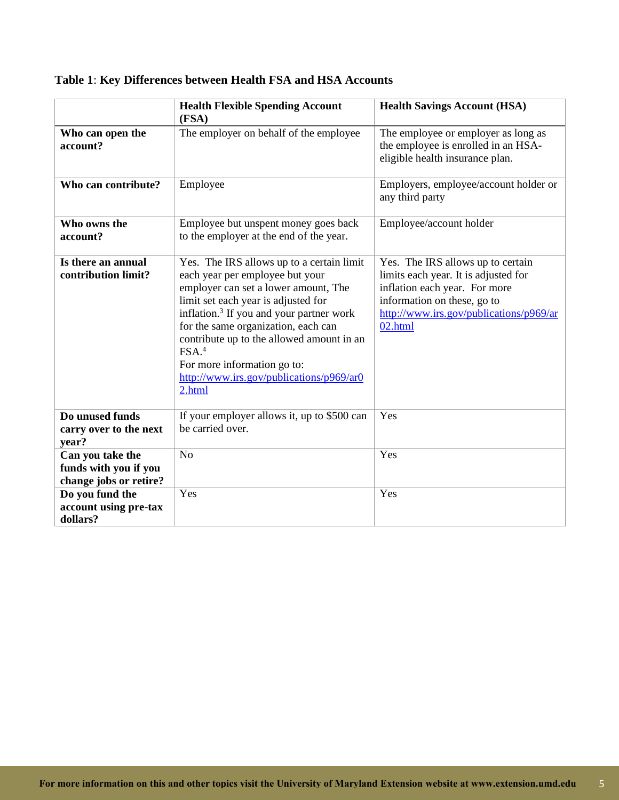|                                                                     | <b>Health Flexible Spending Account</b><br>(FSA)                                                                                                                                                                                                                                                                                                                                                                  | <b>Health Savings Account (HSA)</b>                                                                                                                                                             |
|---------------------------------------------------------------------|-------------------------------------------------------------------------------------------------------------------------------------------------------------------------------------------------------------------------------------------------------------------------------------------------------------------------------------------------------------------------------------------------------------------|-------------------------------------------------------------------------------------------------------------------------------------------------------------------------------------------------|
| Who can open the<br>account?                                        | The employer on behalf of the employee                                                                                                                                                                                                                                                                                                                                                                            | The employee or employer as long as<br>the employee is enrolled in an HSA-<br>eligible health insurance plan.                                                                                   |
| Who can contribute?                                                 | Employee                                                                                                                                                                                                                                                                                                                                                                                                          | Employers, employee/account holder or<br>any third party                                                                                                                                        |
| Who owns the<br>account?                                            | Employee but unspent money goes back<br>to the employer at the end of the year.                                                                                                                                                                                                                                                                                                                                   | Employee/account holder                                                                                                                                                                         |
| Is there an annual<br>contribution limit?                           | Yes. The IRS allows up to a certain limit<br>each year per employee but your<br>employer can set a lower amount, The<br>limit set each year is adjusted for<br>inflation. <sup>3</sup> If you and your partner work<br>for the same organization, each can<br>contribute up to the allowed amount in an<br>FSA. <sup>4</sup><br>For more information go to:<br>http://www.irs.gov/publications/p969/ar0<br>2.html | Yes. The IRS allows up to certain<br>limits each year. It is adjusted for<br>inflation each year. For more<br>information on these, go to<br>http://www.irs.gov/publications/p969/ar<br>02.html |
| Do unused funds<br>carry over to the next<br>year?                  | If your employer allows it, up to \$500 can<br>be carried over.                                                                                                                                                                                                                                                                                                                                                   | Yes                                                                                                                                                                                             |
| Can you take the<br>funds with you if you<br>change jobs or retire? | N <sub>o</sub>                                                                                                                                                                                                                                                                                                                                                                                                    | Yes                                                                                                                                                                                             |
| Do you fund the<br>account using pre-tax<br>dollars?                | Yes                                                                                                                                                                                                                                                                                                                                                                                                               | Yes                                                                                                                                                                                             |

# **Table 1**: **Key Differences between Health FSA and HSA Accounts**